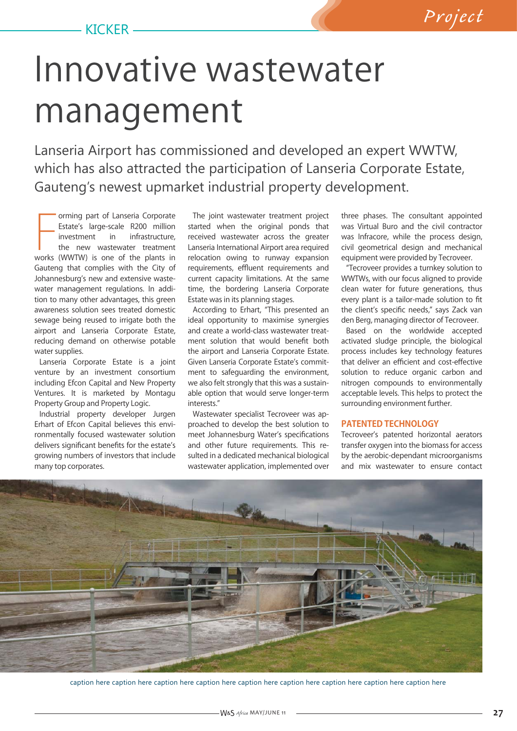## Innovative wastewater management

Lanseria Airport has commissioned and developed an expert WWTW, which has also attracted the participation of Lanseria Corporate Estate, Gauteng's newest upmarket industrial property development.

Forming part of Lanseria Corporate<br>
Estate's large-scale R200 million<br>
investment in infrastructure,<br>
the new wastewater treatment<br>
works (WWTW) is one of the plants in orming part of Lanseria Corporate Estate's large-scale R200 million investment in infrastructure, the new wastewater treatment Gauteng that complies with the City of Johannesburg's new and extensive wastewater management regulations. In addition to many other advantages, this green awareness solution sees treated domestic sewage being reused to irrigate both the airport and Lanseria Corporate Estate, reducing demand on otherwise potable water supplies.

Lanseria Corporate Estate is a joint venture by an investment consortium including Efcon Capital and New Property Ventures. It is marketed by Montagu Property Group and Property Logic.

Industrial property developer Jurgen Erhart of Efcon Capital believes this environmentally focused wastewater solution delivers significant benefits for the estate's growing numbers of investors that include many top corporates.

The joint wastewater treatment project started when the original ponds that received wastewater across the greater Lanseria International Airport area required relocation owing to runway expansion requirements, effluent requirements and current capacity limitations. At the same time, the bordering Lanseria Corporate Estate was in its planning stages.

According to Erhart, "This presented an ideal opportunity to maximise synergies and create a world-class wastewater treatment solution that would benefit both the airport and Lanseria Corporate Estate. Given Lanseria Corporate Estate's commitment to safeguarding the environment, we also felt strongly that this was a sustainable option that would serve longer-term interests."

Wastewater specialist Tecroveer was approached to develop the best solution to meet Johannesburg Water's specifications and other future requirements. This resulted in a dedicated mechanical biological wastewater application, implemented over

three phases. The consultant appointed was Virtual Buro and the civil contractor was Infracore, while the process design, civil geometrical design and mechanical equipment were provided by Tecroveer.

"Tecroveer provides a turnkey solution to WWTWs, with our focus aligned to provide clean water for future generations, thus every plant is a tailor-made solution to fit the client's specific needs," says Zack van den Berg, managing director of Tecroveer.

Based on the worldwide accepted activated sludge principle, the biological process includes key technology features that deliver an efficient and cost-effective solution to reduce organic carbon and nitrogen compounds to environmentally acceptable levels. This helps to protect the surrounding environment further.

## **PATENTED TECHNOLOGY**

Tecroveer's patented horizontal aerators transfer oxygen into the biomass for access by the aerobic-dependant microorganisms and mix wastewater to ensure contact



caption here caption here caption here caption here caption here caption here caption here caption here caption here